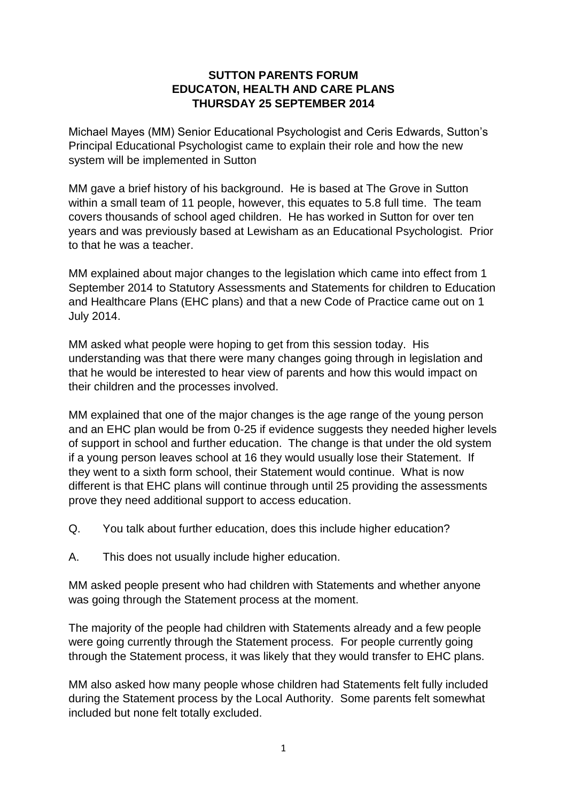## **SUTTON PARENTS FORUM EDUCATON, HEALTH AND CARE PLANS THURSDAY 25 SEPTEMBER 2014**

Michael Mayes (MM) Senior Educational Psychologist and Ceris Edwards, Sutton's Principal Educational Psychologist came to explain their role and how the new system will be implemented in Sutton

MM gave a brief history of his background. He is based at The Grove in Sutton within a small team of 11 people, however, this equates to 5.8 full time. The team covers thousands of school aged children. He has worked in Sutton for over ten years and was previously based at Lewisham as an Educational Psychologist. Prior to that he was a teacher.

MM explained about major changes to the legislation which came into effect from 1 September 2014 to Statutory Assessments and Statements for children to Education and Healthcare Plans (EHC plans) and that a new Code of Practice came out on 1 July 2014.

MM asked what people were hoping to get from this session today. His understanding was that there were many changes going through in legislation and that he would be interested to hear view of parents and how this would impact on their children and the processes involved.

MM explained that one of the major changes is the age range of the young person and an EHC plan would be from 0-25 if evidence suggests they needed higher levels of support in school and further education. The change is that under the old system if a young person leaves school at 16 they would usually lose their Statement. If they went to a sixth form school, their Statement would continue. What is now different is that EHC plans will continue through until 25 providing the assessments prove they need additional support to access education.

- Q. You talk about further education, does this include higher education?
- A. This does not usually include higher education.

MM asked people present who had children with Statements and whether anyone was going through the Statement process at the moment.

The majority of the people had children with Statements already and a few people were going currently through the Statement process. For people currently going through the Statement process, it was likely that they would transfer to EHC plans.

MM also asked how many people whose children had Statements felt fully included during the Statement process by the Local Authority. Some parents felt somewhat included but none felt totally excluded.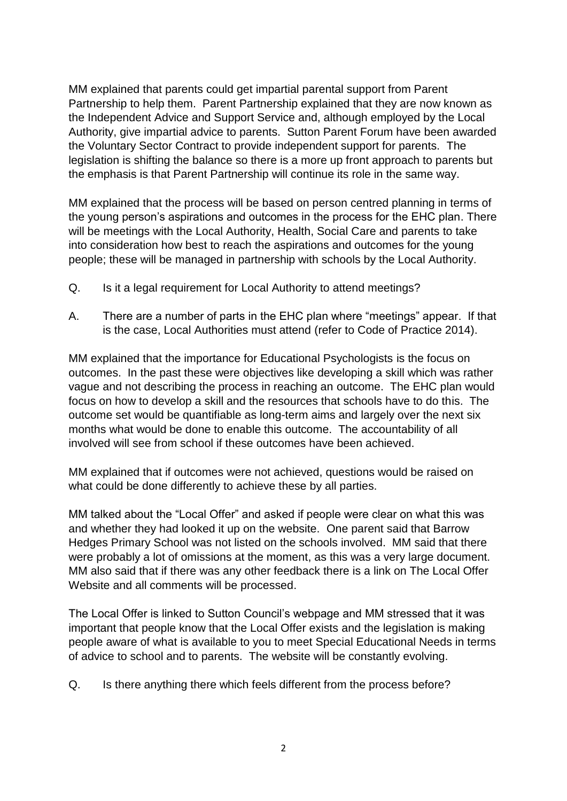MM explained that parents could get impartial parental support from Parent Partnership to help them. Parent Partnership explained that they are now known as the Independent Advice and Support Service and, although employed by the Local Authority, give impartial advice to parents. Sutton Parent Forum have been awarded the Voluntary Sector Contract to provide independent support for parents. The legislation is shifting the balance so there is a more up front approach to parents but the emphasis is that Parent Partnership will continue its role in the same way.

MM explained that the process will be based on person centred planning in terms of the young person's aspirations and outcomes in the process for the EHC plan. There will be meetings with the Local Authority, Health, Social Care and parents to take into consideration how best to reach the aspirations and outcomes for the young people; these will be managed in partnership with schools by the Local Authority.

- Q. Is it a legal requirement for Local Authority to attend meetings?
- A. There are a number of parts in the EHC plan where "meetings" appear. If that is the case, Local Authorities must attend (refer to Code of Practice 2014).

MM explained that the importance for Educational Psychologists is the focus on outcomes. In the past these were objectives like developing a skill which was rather vague and not describing the process in reaching an outcome. The EHC plan would focus on how to develop a skill and the resources that schools have to do this. The outcome set would be quantifiable as long-term aims and largely over the next six months what would be done to enable this outcome. The accountability of all involved will see from school if these outcomes have been achieved.

MM explained that if outcomes were not achieved, questions would be raised on what could be done differently to achieve these by all parties.

MM talked about the "Local Offer" and asked if people were clear on what this was and whether they had looked it up on the website. One parent said that Barrow Hedges Primary School was not listed on the schools involved. MM said that there were probably a lot of omissions at the moment, as this was a very large document. MM also said that if there was any other feedback there is a link on The Local Offer Website and all comments will be processed.

The Local Offer is linked to Sutton Council's webpage and MM stressed that it was important that people know that the Local Offer exists and the legislation is making people aware of what is available to you to meet Special Educational Needs in terms of advice to school and to parents. The website will be constantly evolving.

Q. Is there anything there which feels different from the process before?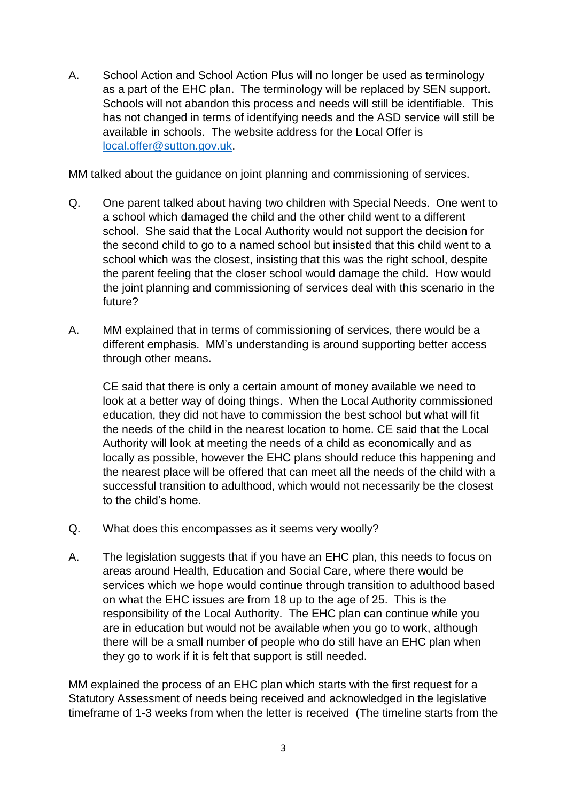A. School Action and School Action Plus will no longer be used as terminology as a part of the EHC plan. The terminology will be replaced by SEN support. Schools will not abandon this process and needs will still be identifiable. This has not changed in terms of identifying needs and the ASD service will still be available in schools. The website address for the Local Offer is [local.offer@sutton.gov.uk.](mailto:local.offer@sutton.gov.uk)

MM talked about the guidance on joint planning and commissioning of services.

- Q. One parent talked about having two children with Special Needs. One went to a school which damaged the child and the other child went to a different school. She said that the Local Authority would not support the decision for the second child to go to a named school but insisted that this child went to a school which was the closest, insisting that this was the right school, despite the parent feeling that the closer school would damage the child. How would the joint planning and commissioning of services deal with this scenario in the future?
- A. MM explained that in terms of commissioning of services, there would be a different emphasis. MM's understanding is around supporting better access through other means.

CE said that there is only a certain amount of money available we need to look at a better way of doing things. When the Local Authority commissioned education, they did not have to commission the best school but what will fit the needs of the child in the nearest location to home. CE said that the Local Authority will look at meeting the needs of a child as economically and as locally as possible, however the EHC plans should reduce this happening and the nearest place will be offered that can meet all the needs of the child with a successful transition to adulthood, which would not necessarily be the closest to the child's home.

- Q. What does this encompasses as it seems very woolly?
- A. The legislation suggests that if you have an EHC plan, this needs to focus on areas around Health, Education and Social Care, where there would be services which we hope would continue through transition to adulthood based on what the EHC issues are from 18 up to the age of 25. This is the responsibility of the Local Authority. The EHC plan can continue while you are in education but would not be available when you go to work, although there will be a small number of people who do still have an EHC plan when they go to work if it is felt that support is still needed.

MM explained the process of an EHC plan which starts with the first request for a Statutory Assessment of needs being received and acknowledged in the legislative timeframe of 1-3 weeks from when the letter is received (The timeline starts from the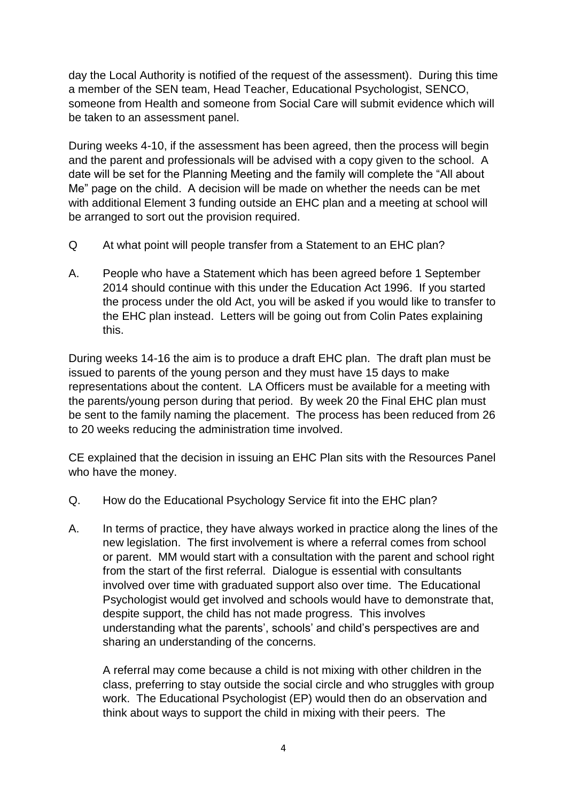day the Local Authority is notified of the request of the assessment). During this time a member of the SEN team, Head Teacher, Educational Psychologist, SENCO, someone from Health and someone from Social Care will submit evidence which will be taken to an assessment panel.

During weeks 4-10, if the assessment has been agreed, then the process will begin and the parent and professionals will be advised with a copy given to the school. A date will be set for the Planning Meeting and the family will complete the "All about Me" page on the child. A decision will be made on whether the needs can be met with additional Element 3 funding outside an EHC plan and a meeting at school will be arranged to sort out the provision required.

- Q At what point will people transfer from a Statement to an EHC plan?
- A. People who have a Statement which has been agreed before 1 September 2014 should continue with this under the Education Act 1996. If you started the process under the old Act, you will be asked if you would like to transfer to the EHC plan instead. Letters will be going out from Colin Pates explaining this.

During weeks 14-16 the aim is to produce a draft EHC plan. The draft plan must be issued to parents of the young person and they must have 15 days to make representations about the content. LA Officers must be available for a meeting with the parents/young person during that period. By week 20 the Final EHC plan must be sent to the family naming the placement. The process has been reduced from 26 to 20 weeks reducing the administration time involved.

CE explained that the decision in issuing an EHC Plan sits with the Resources Panel who have the money.

- Q. How do the Educational Psychology Service fit into the EHC plan?
- A. In terms of practice, they have always worked in practice along the lines of the new legislation. The first involvement is where a referral comes from school or parent. MM would start with a consultation with the parent and school right from the start of the first referral. Dialogue is essential with consultants involved over time with graduated support also over time. The Educational Psychologist would get involved and schools would have to demonstrate that, despite support, the child has not made progress. This involves understanding what the parents', schools' and child's perspectives are and sharing an understanding of the concerns.

A referral may come because a child is not mixing with other children in the class, preferring to stay outside the social circle and who struggles with group work. The Educational Psychologist (EP) would then do an observation and think about ways to support the child in mixing with their peers. The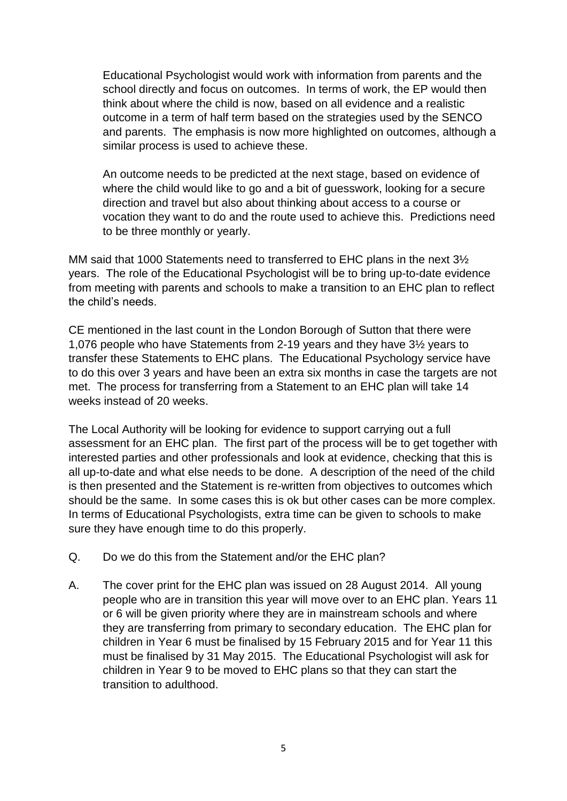Educational Psychologist would work with information from parents and the school directly and focus on outcomes. In terms of work, the EP would then think about where the child is now, based on all evidence and a realistic outcome in a term of half term based on the strategies used by the SENCO and parents. The emphasis is now more highlighted on outcomes, although a similar process is used to achieve these.

An outcome needs to be predicted at the next stage, based on evidence of where the child would like to go and a bit of guesswork, looking for a secure direction and travel but also about thinking about access to a course or vocation they want to do and the route used to achieve this. Predictions need to be three monthly or yearly.

MM said that 1000 Statements need to transferred to EHC plans in the next 3½ years. The role of the Educational Psychologist will be to bring up-to-date evidence from meeting with parents and schools to make a transition to an EHC plan to reflect the child's needs.

CE mentioned in the last count in the London Borough of Sutton that there were 1,076 people who have Statements from 2-19 years and they have 3½ years to transfer these Statements to EHC plans. The Educational Psychology service have to do this over 3 years and have been an extra six months in case the targets are not met. The process for transferring from a Statement to an EHC plan will take 14 weeks instead of 20 weeks.

The Local Authority will be looking for evidence to support carrying out a full assessment for an EHC plan. The first part of the process will be to get together with interested parties and other professionals and look at evidence, checking that this is all up-to-date and what else needs to be done. A description of the need of the child is then presented and the Statement is re-written from objectives to outcomes which should be the same. In some cases this is ok but other cases can be more complex. In terms of Educational Psychologists, extra time can be given to schools to make sure they have enough time to do this properly.

- Q. Do we do this from the Statement and/or the EHC plan?
- A. The cover print for the EHC plan was issued on 28 August 2014. All young people who are in transition this year will move over to an EHC plan. Years 11 or 6 will be given priority where they are in mainstream schools and where they are transferring from primary to secondary education. The EHC plan for children in Year 6 must be finalised by 15 February 2015 and for Year 11 this must be finalised by 31 May 2015. The Educational Psychologist will ask for children in Year 9 to be moved to EHC plans so that they can start the transition to adulthood.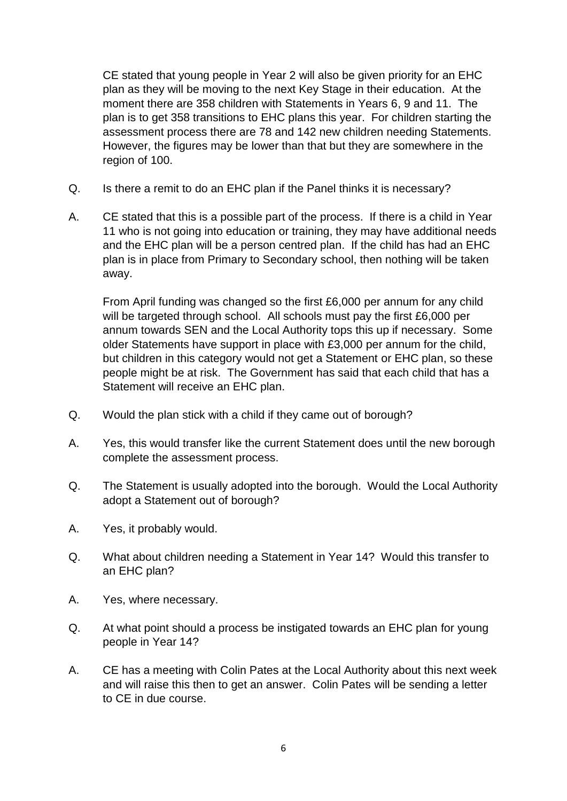CE stated that young people in Year 2 will also be given priority for an EHC plan as they will be moving to the next Key Stage in their education. At the moment there are 358 children with Statements in Years 6, 9 and 11. The plan is to get 358 transitions to EHC plans this year. For children starting the assessment process there are 78 and 142 new children needing Statements. However, the figures may be lower than that but they are somewhere in the region of 100.

- Q. Is there a remit to do an EHC plan if the Panel thinks it is necessary?
- A. CE stated that this is a possible part of the process. If there is a child in Year 11 who is not going into education or training, they may have additional needs and the EHC plan will be a person centred plan. If the child has had an EHC plan is in place from Primary to Secondary school, then nothing will be taken away.

From April funding was changed so the first £6,000 per annum for any child will be targeted through school. All schools must pay the first £6,000 per annum towards SEN and the Local Authority tops this up if necessary. Some older Statements have support in place with £3,000 per annum for the child, but children in this category would not get a Statement or EHC plan, so these people might be at risk. The Government has said that each child that has a Statement will receive an EHC plan.

- Q. Would the plan stick with a child if they came out of borough?
- A. Yes, this would transfer like the current Statement does until the new borough complete the assessment process.
- Q. The Statement is usually adopted into the borough. Would the Local Authority adopt a Statement out of borough?
- A. Yes, it probably would.
- Q. What about children needing a Statement in Year 14? Would this transfer to an EHC plan?
- A. Yes, where necessary.
- Q. At what point should a process be instigated towards an EHC plan for young people in Year 14?
- A. CE has a meeting with Colin Pates at the Local Authority about this next week and will raise this then to get an answer. Colin Pates will be sending a letter to CE in due course.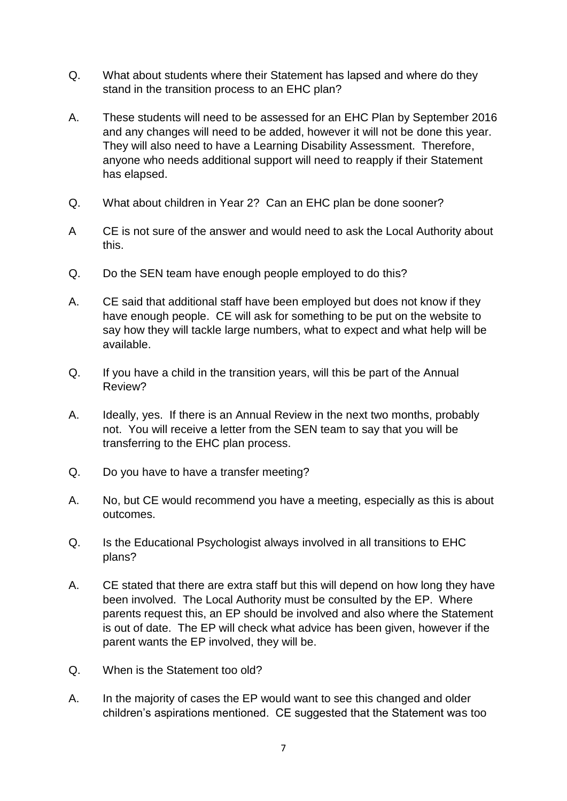- Q. What about students where their Statement has lapsed and where do they stand in the transition process to an EHC plan?
- A. These students will need to be assessed for an EHC Plan by September 2016 and any changes will need to be added, however it will not be done this year. They will also need to have a Learning Disability Assessment. Therefore, anyone who needs additional support will need to reapply if their Statement has elapsed.
- Q. What about children in Year 2? Can an EHC plan be done sooner?
- A CE is not sure of the answer and would need to ask the Local Authority about this.
- Q. Do the SEN team have enough people employed to do this?
- A. CE said that additional staff have been employed but does not know if they have enough people. CE will ask for something to be put on the website to say how they will tackle large numbers, what to expect and what help will be available.
- Q. If you have a child in the transition years, will this be part of the Annual Review?
- A. Ideally, yes. If there is an Annual Review in the next two months, probably not. You will receive a letter from the SEN team to say that you will be transferring to the EHC plan process.
- Q. Do you have to have a transfer meeting?
- A. No, but CE would recommend you have a meeting, especially as this is about outcomes.
- Q. Is the Educational Psychologist always involved in all transitions to EHC plans?
- A. CE stated that there are extra staff but this will depend on how long they have been involved. The Local Authority must be consulted by the EP. Where parents request this, an EP should be involved and also where the Statement is out of date. The EP will check what advice has been given, however if the parent wants the EP involved, they will be.
- Q. When is the Statement too old?
- A. In the majority of cases the EP would want to see this changed and older children's aspirations mentioned. CE suggested that the Statement was too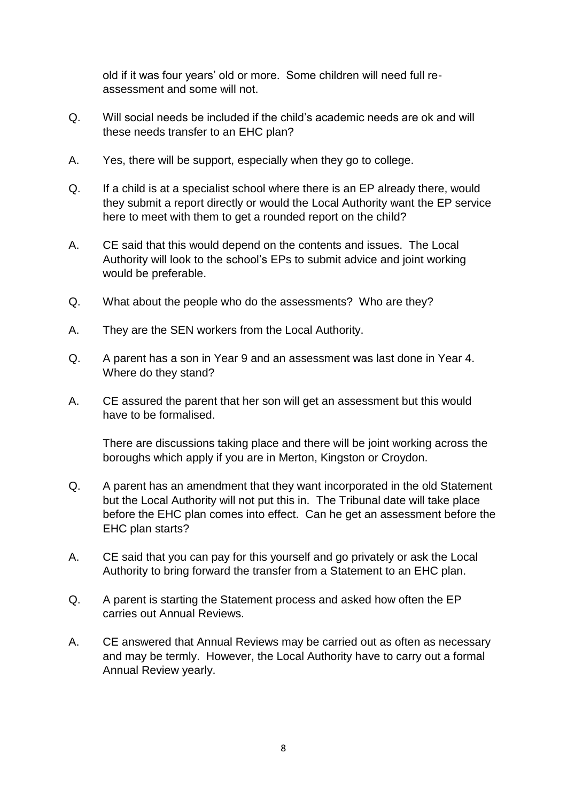old if it was four years' old or more. Some children will need full reassessment and some will not.

- Q. Will social needs be included if the child's academic needs are ok and will these needs transfer to an EHC plan?
- A. Yes, there will be support, especially when they go to college.
- Q. If a child is at a specialist school where there is an EP already there, would they submit a report directly or would the Local Authority want the EP service here to meet with them to get a rounded report on the child?
- A. CE said that this would depend on the contents and issues. The Local Authority will look to the school's EPs to submit advice and joint working would be preferable.
- Q. What about the people who do the assessments? Who are they?
- A. They are the SEN workers from the Local Authority.
- Q. A parent has a son in Year 9 and an assessment was last done in Year 4. Where do they stand?
- A. CE assured the parent that her son will get an assessment but this would have to be formalised.

There are discussions taking place and there will be joint working across the boroughs which apply if you are in Merton, Kingston or Croydon.

- Q. A parent has an amendment that they want incorporated in the old Statement but the Local Authority will not put this in. The Tribunal date will take place before the EHC plan comes into effect. Can he get an assessment before the EHC plan starts?
- A. CE said that you can pay for this yourself and go privately or ask the Local Authority to bring forward the transfer from a Statement to an EHC plan.
- Q. A parent is starting the Statement process and asked how often the EP carries out Annual Reviews.
- A. CE answered that Annual Reviews may be carried out as often as necessary and may be termly. However, the Local Authority have to carry out a formal Annual Review yearly.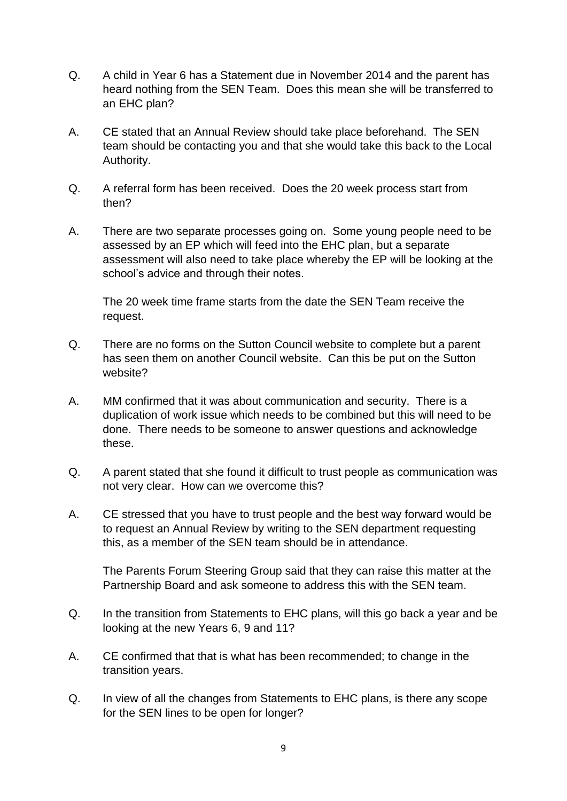- Q. A child in Year 6 has a Statement due in November 2014 and the parent has heard nothing from the SEN Team. Does this mean she will be transferred to an EHC plan?
- A. CE stated that an Annual Review should take place beforehand. The SEN team should be contacting you and that she would take this back to the Local Authority.
- Q. A referral form has been received. Does the 20 week process start from then?
- A. There are two separate processes going on. Some young people need to be assessed by an EP which will feed into the EHC plan, but a separate assessment will also need to take place whereby the EP will be looking at the school's advice and through their notes.

The 20 week time frame starts from the date the SEN Team receive the request.

- Q. There are no forms on the Sutton Council website to complete but a parent has seen them on another Council website. Can this be put on the Sutton website?
- A. MM confirmed that it was about communication and security. There is a duplication of work issue which needs to be combined but this will need to be done. There needs to be someone to answer questions and acknowledge these.
- Q. A parent stated that she found it difficult to trust people as communication was not very clear. How can we overcome this?
- A. CE stressed that you have to trust people and the best way forward would be to request an Annual Review by writing to the SEN department requesting this, as a member of the SEN team should be in attendance.

The Parents Forum Steering Group said that they can raise this matter at the Partnership Board and ask someone to address this with the SEN team.

- Q. In the transition from Statements to EHC plans, will this go back a year and be looking at the new Years 6, 9 and 11?
- A. CE confirmed that that is what has been recommended; to change in the transition years.
- Q. In view of all the changes from Statements to EHC plans, is there any scope for the SEN lines to be open for longer?